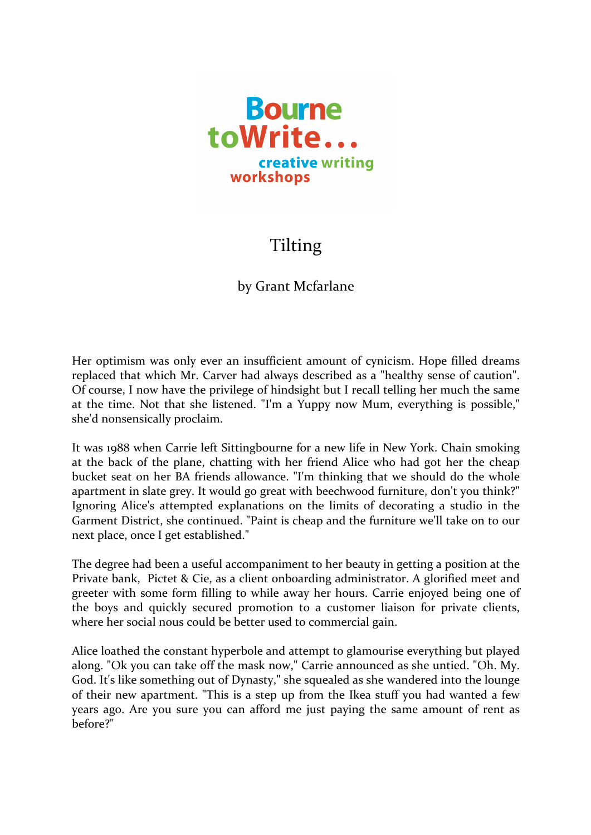

## Tilting

## by Grant Mcfarlane

Her optimism was only ever an insufficient amount of cynicism. Hope filled dreams replaced that which Mr. Carver had always described as a "healthy sense of caution". Of course, I now have the privilege of hindsight but I recall telling her much the same at the time. Not that she listened. "I'm a Yuppy now Mum, everything is possible," she'd nonsensically proclaim.

It was 1988 when Carrie left Sittingbourne for a new life in New York. Chain smoking at the back of the plane, chatting with her friend Alice who had got her the cheap bucket seat on her BA friends allowance. "I'm thinking that we should do the whole apartment in slate grey. It would go great with beechwood furniture, don't you think?" Ignoring Alice's attempted explanations on the limits of decorating a studio in the Garment District, she continued. "Paint is cheap and the furniture we'll take on to our next place, once I get established."

The degree had been a useful accompaniment to her beauty in getting a position at the Private bank, Pictet & Cie, as a client onboarding administrator. A glorified meet and greeter with some form filling to while away her hours. Carrie enjoyed being one of the boys and quickly secured promotion to a customer liaison for private clients, where her social nous could be better used to commercial gain.

Alice loathed the constant hyperbole and attempt to glamourise everything but played along. "Ok you can take off the mask now," Carrie announced as she untied. "Oh. My. God. It's like something out of Dynasty," she squealed as she wandered into the lounge of their new apartment. "This is a step up from the Ikea stuff you had wanted a few years ago. Are you sure you can afford me just paying the same amount of rent as before?"